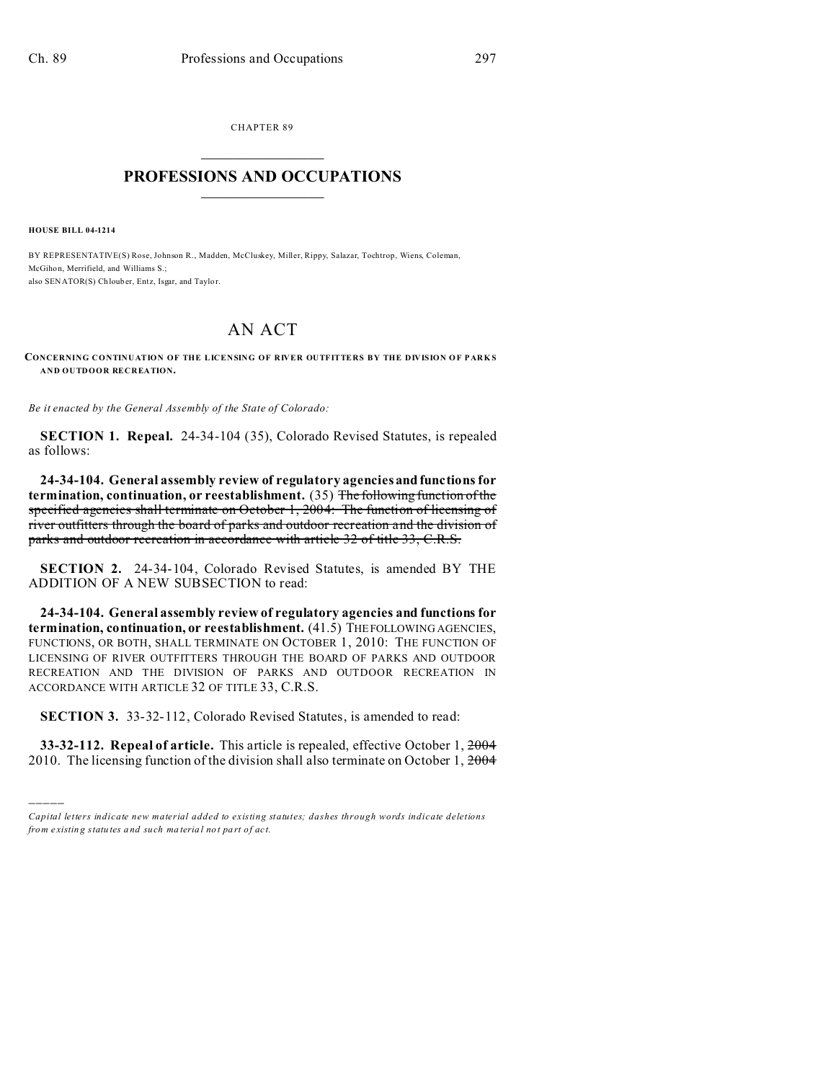CHAPTER 89  $\overline{\phantom{a}}$  , where  $\overline{\phantom{a}}$ 

## **PROFESSIONS AND OCCUPATIONS**  $\frac{1}{2}$  ,  $\frac{1}{2}$  ,  $\frac{1}{2}$  ,  $\frac{1}{2}$  ,  $\frac{1}{2}$  ,  $\frac{1}{2}$

**HOUSE BILL 04-1214**

)))))

BY REPRESENTATIVE(S) Rose, Johnson R., Madden, McCluskey, Miller, Rippy, Salazar, Tochtrop, Wiens, Coleman, McGihon, Merrifield, and Williams S.; also SENATOR(S) Chlouber, Entz, Isgar, and Taylor.

## AN ACT

**CONCERNING CONTINUATION OF THE LICENSING OF RIVER OUTFITTERS BY THE DIVISION OF PARKS AND OUTDOOR RECREATION.**

*Be it enacted by the General Assembly of the State of Colorado:*

**SECTION 1. Repeal.** 24-34-104 (35), Colorado Revised Statutes, is repealed as follows:

**24-34-104. General assembly review of regulatory agencies and functions for termination, continuation, or reestablishment.** (35) The following function of the specified agencies shall terminate on October 1, 2004: The function of licensing of river outfitters through the board of parks and outdoor recreation and the division of parks and outdoor recreation in accordance with article 32 of title 33, C.R.S.

**SECTION 2.** 24-34-104, Colorado Revised Statutes, is amended BY THE ADDITION OF A NEW SUBSECTION to read:

**24-34-104. General assembly review of regulatory agencies and functions for termination, continuation, or reestablishment.** (41.5) THEFOLLOWING AGENCIES, FUNCTIONS, OR BOTH, SHALL TERMINATE ON OCTOBER 1, 2010: THE FUNCTION OF LICENSING OF RIVER OUTFITTERS THROUGH THE BOARD OF PARKS AND OUTDOOR RECREATION AND THE DIVISION OF PARKS AND OUTDOOR RECREATION IN ACCORDANCE WITH ARTICLE 32 OF TITLE 33, C.R.S.

**SECTION 3.** 33-32-112, Colorado Revised Statutes, is amended to read:

**33-32-112. Repeal of article.** This article is repealed, effective October 1, 2004 2010. The licensing function of the division shall also terminate on October 1, 2004

*Capital letters indicate new material added to existing statutes; dashes through words indicate deletions from e xistin g statu tes a nd such ma teria l no t pa rt of ac t.*